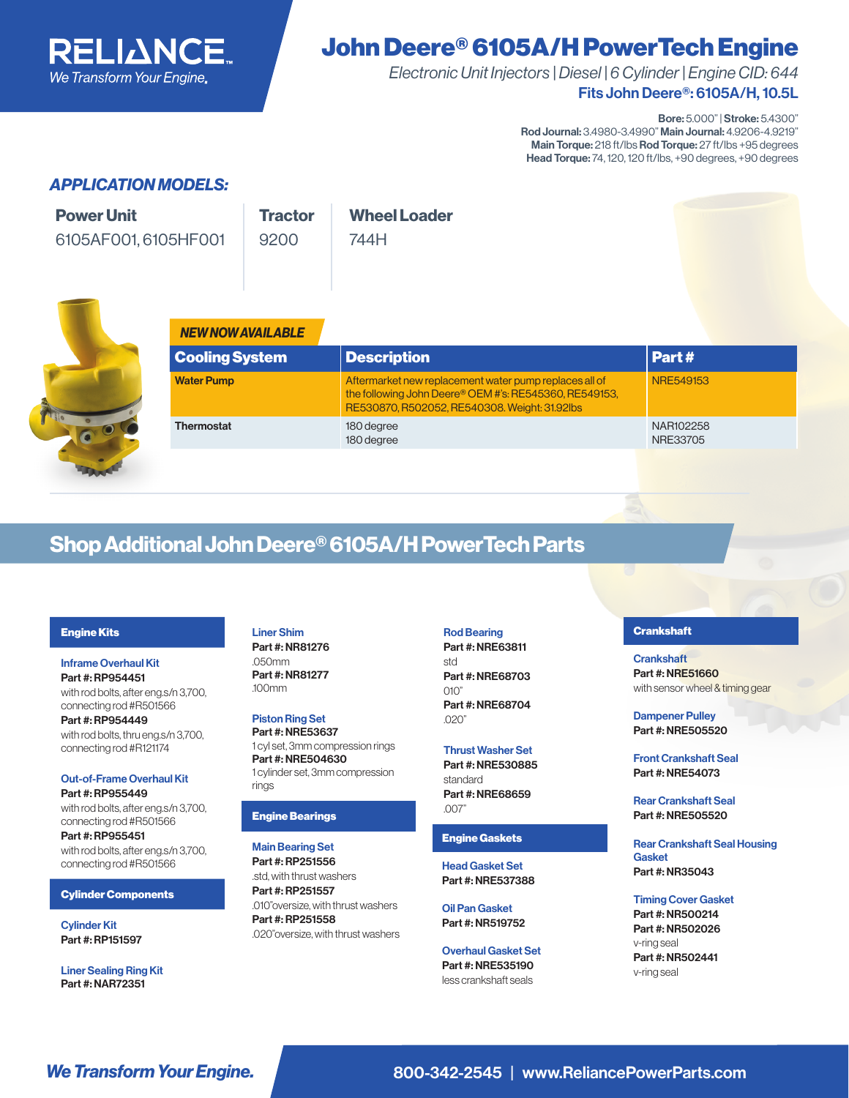

# John Deere® 6105A/H PowerTech Engine

Fits John Deere®: 6105A/H, 10.5L *Electronic Unit Injectors | Diesel | 6 Cylinder | Engine CID: 644*

Bore: 5.000" | Stroke: 5.4300"

Rod Journal: 3.4980-3.4990" Main Journal: 4.9206-4.9219" Main Torque: 218 ft/lbs Rod Torque: 27 ft/lbs +95 degrees Head Torque: 74, 120, 120 ft/lbs, +90 degrees, +90 degrees

## *APPLICATION MODELS:*

| <b>Power Unit</b>    | <b>Tractor</b> | <b>Wheel Loader</b> |  |
|----------------------|----------------|---------------------|--|
| 6105AF001, 6105HF001 | 9200           | 744H                |  |
|                      |                |                     |  |



| <b>NEW NOW AVAILABLE</b> |                                                                                                                                                                   |                       |
|--------------------------|-------------------------------------------------------------------------------------------------------------------------------------------------------------------|-----------------------|
| <b>Cooling System</b>    | <b>Description</b>                                                                                                                                                | Part #                |
| <b>Water Pump</b>        | Aftermarket new replacement water pump replaces all of<br>the following John Deere® OEM #'s: RE545360, RE549153,<br>RE530870, R502052, RE540308. Weight: 31.92lbs | NRF549153             |
| <b>Thermostat</b>        | 180 degree<br>180 degree                                                                                                                                          | NAR102258<br>NRE33705 |

# Shop Additional John Deere® 6105A/H PowerTech Parts

#### Engine Kits

Inframe Overhaul Kit Part #: RP954451 with rod bolts, after eng.s/n 3,700, connecting rod #R501566

Part #: RP954449 with rod bolts, thru eng.s/n 3,700, connecting rod #R121174

### Out-of-Frame Overhaul Kit Part #: RP955449

with rod bolts, after eng.s/n 3,700, connecting rod #R501566 Part #: RP955451

with rod bolts, after eng.s/n 3,700, connecting rod #R501566

#### Cylinder Components

Cylinder Kit Part #: RP151597

Liner Sealing Ring Kit Part #: NAR72351

Liner Shim Part #: NR81276 .050mm Part #: NR81277 .100mm

Piston Ring Set Part #: NRE53637 1 cyl set, 3mm compression rings Part #: NRE504630 1 cylinder set, 3mm compression rings

#### Engine Bearings

Main Bearing Set Part #: RP251556 .std, with thrust washers Part #: RP251557 .010"oversize, with thrust washers Part #: RP251558 .020"oversize, with thrust washers

#### Rod Bearing

Part #: NRE63811 std Part #: NRE68703  $\cap$ 10" Part #: NRE68704 .020"

#### Thrust Washer Set Part #: NRE530885 standard Part #: NRE68659 .007"

#### Engine Gaskets

Head Gasket Set Part #: NRE537388

Oil Pan Gasket Part #: NR519752

Overhaul Gasket Set Part #: NRE535190 less crankshaft seals

#### **Crankshaft**

**Crankshaft** Part #: NRE51660 with sensor wheel & timing gear

Dampener Pulley Part #: NRE505520

Front Crankshaft Seal Part #: NRE54073

Rear Crankshaft Seal Part #: NRE505520

Rear Crankshaft Seal Housing Gasket Part #: NR35043

Timing Cover Gasket Part #: NR500214 Part #: NR502026 v-ring seal Part #: NR502441 v-ring seal

**We Transform Your Engine.** 800-342-2545 | www.ReliancePowerParts.com